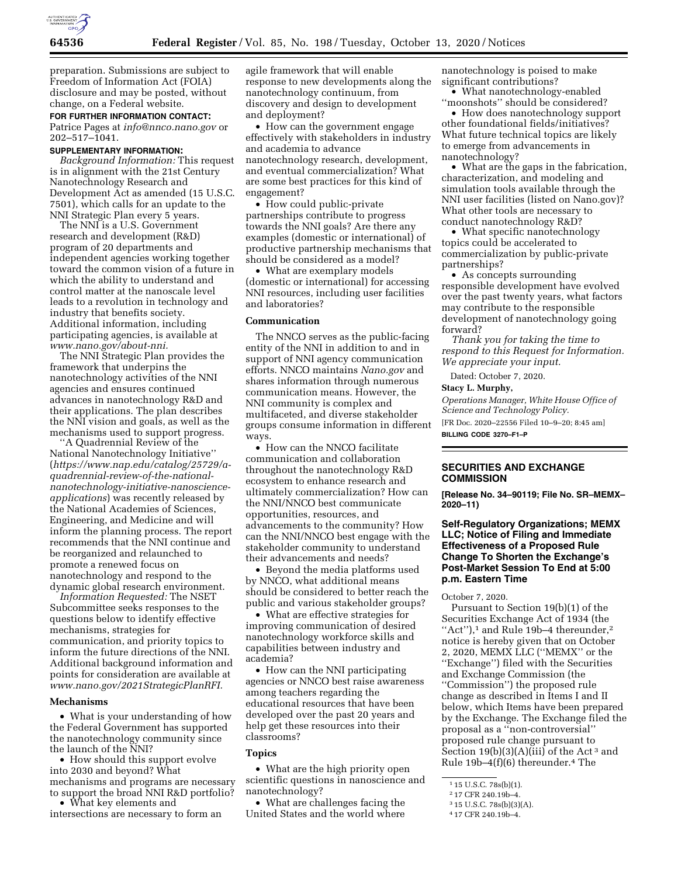

preparation. Submissions are subject to Freedom of Information Act (FOIA) disclosure and may be posted, without change, on a Federal website.

# **FOR FURTHER INFORMATION CONTACT:**

Patrice Pages at *[info@nnco.nano.gov](mailto:info@nnco.nano.gov)* or 202–517–1041.

# **SUPPLEMENTARY INFORMATION:**

*Background Information:* This request is in alignment with the 21st Century Nanotechnology Research and Development Act as amended (15 U.S.C. 7501), which calls for an update to the NNI Strategic Plan every 5 years.

The NNI is a U.S. Government research and development (R&D) program of 20 departments and independent agencies working together toward the common vision of a future in which the ability to understand and control matter at the nanoscale level leads to a revolution in technology and industry that benefits society. Additional information, including participating agencies, is available at *[www.nano.gov/about-nni.](http://www.nano.gov/about-nni)* 

The NNI Strategic Plan provides the framework that underpins the nanotechnology activities of the NNI agencies and ensures continued advances in nanotechnology R&D and their applications. The plan describes the NNI vision and goals, as well as the mechanisms used to support progress.

'A Quadrennial Review of the National Nanotechnology Initiative'' (*https://www.nap.edu/catalog/25729/aquadrennial-review-of-the-national[nanotechnology-initiative-nanoscience](https://www.nap.edu/catalog/25729/a-quadrennial-review-of-the-national-nanotechnology-initiative-nanoscience-applications)[applications](https://www.nap.edu/catalog/25729/a-quadrennial-review-of-the-national-nanotechnology-initiative-nanoscience-applications)*) was recently released by the National Academies of Sciences, Engineering, and Medicine and will inform the planning process. The report recommends that the NNI continue and be reorganized and relaunched to promote a renewed focus on nanotechnology and respond to the dynamic global research environment.

*Information Requested:* The NSET Subcommittee seeks responses to the questions below to identify effective mechanisms, strategies for communication, and priority topics to inform the future directions of the NNI. Additional background information and points for consideration are available at *[www.nano.gov/2021StrategicPlanRFI.](http://www.nano.gov/2021StrategicPlanRFI)* 

#### **Mechanisms**

• What is your understanding of how the Federal Government has supported the nanotechnology community since the launch of the NNI?

• How should this support evolve into 2030 and beyond? What mechanisms and programs are necessary to support the broad NNI R&D portfolio? • What key elements and

intersections are necessary to form an

agile framework that will enable response to new developments along the nanotechnology continuum, from discovery and design to development and deployment?

• How can the government engage effectively with stakeholders in industry and academia to advance nanotechnology research, development, and eventual commercialization? What are some best practices for this kind of engagement?

• How could public-private partnerships contribute to progress towards the NNI goals? Are there any examples (domestic or international) of productive partnership mechanisms that should be considered as a model?

• What are exemplary models (domestic or international) for accessing NNI resources, including user facilities and laboratories?

# **Communication**

The NNCO serves as the public-facing entity of the NNI in addition to and in support of NNI agency communication efforts. NNCO maintains *Nano.gov* and shares information through numerous communication means. However, the NNI community is complex and multifaceted, and diverse stakeholder groups consume information in different ways.

• How can the NNCO facilitate communication and collaboration throughout the nanotechnology R&D ecosystem to enhance research and ultimately commercialization? How can the NNI/NNCO best communicate opportunities, resources, and advancements to the community? How can the NNI/NNCO best engage with the stakeholder community to understand their advancements and needs?

• Beyond the media platforms used by NNCO, what additional means should be considered to better reach the public and various stakeholder groups?

• What are effective strategies for improving communication of desired nanotechnology workforce skills and capabilities between industry and academia?

• How can the NNI participating agencies or NNCO best raise awareness among teachers regarding the educational resources that have been developed over the past 20 years and help get these resources into their classrooms?

## **Topics**

• What are the high priority open scientific questions in nanoscience and nanotechnology?

• What are challenges facing the United States and the world where

nanotechnology is poised to make significant contributions?

• What nanotechnology-enabled ''moonshots'' should be considered?

• How does nanotechnology support other foundational fields/initiatives? What future technical topics are likely to emerge from advancements in nanotechnology?

• What are the gaps in the fabrication, characterization, and modeling and simulation tools available through the NNI user facilities (listed on Nano.gov)? What other tools are necessary to conduct nanotechnology R&D?

• What specific nanotechnology topics could be accelerated to commercialization by public-private partnerships?

• As concepts surrounding responsible development have evolved over the past twenty years, what factors may contribute to the responsible development of nanotechnology going forward?

*Thank you for taking the time to respond to this Request for Information. We appreciate your input.* 

Dated: October 7, 2020.

#### **Stacy L. Murphy,**

*Operations Manager, White House Office of Science and Technology Policy.* 

[FR Doc. 2020–22556 Filed 10–9–20; 8:45 am] **BILLING CODE 3270–F1–P** 

## **SECURITIES AND EXCHANGE COMMISSION**

**[Release No. 34–90119; File No. SR–MEMX– 2020–11)** 

# **Self-Regulatory Organizations; MEMX LLC; Notice of Filing and Immediate Effectiveness of a Proposed Rule Change To Shorten the Exchange's Post-Market Session To End at 5:00 p.m. Eastern Time**

October 7, 2020.

Pursuant to Section 19(b)(1) of the Securities Exchange Act of 1934 (the "Act"), $^1$  and Rule 19b-4 thereunder, $^2$ notice is hereby given that on October 2, 2020, MEMX LLC (''MEMX'' or the ''Exchange'') filed with the Securities and Exchange Commission (the ''Commission'') the proposed rule change as described in Items I and II below, which Items have been prepared by the Exchange. The Exchange filed the proposal as a ''non-controversial'' proposed rule change pursuant to Section  $19(b)(3)(A)(iii)$  of the Act<sup>3</sup> and Rule  $19b-4(f)(6)$  thereunder.<sup>4</sup> The

4 17 CFR 240.19b–4.

<sup>1</sup> 15 U.S.C. 78s(b)(1).

<sup>2</sup> 17 CFR 240.19b–4.

<sup>3</sup> 15 U.S.C. 78s(b)(3)(A).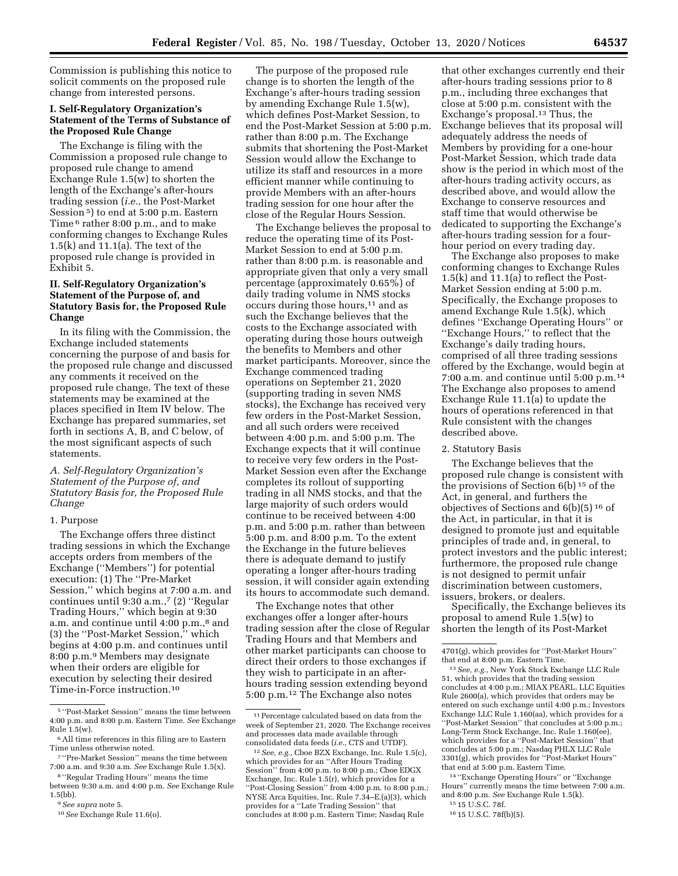Commission is publishing this notice to solicit comments on the proposed rule change from interested persons.

# **I. Self-Regulatory Organization's Statement of the Terms of Substance of the Proposed Rule Change**

The Exchange is filing with the Commission a proposed rule change to proposed rule change to amend Exchange Rule 1.5(w) to shorten the length of the Exchange's after-hours trading session (*i.e.,* the Post-Market Session 5) to end at 5:00 p.m. Eastern Time 6 rather 8:00 p.m., and to make conforming changes to Exchange Rules 1.5(k) and 11.1(a). The text of the proposed rule change is provided in Exhibit 5.

# **II. Self-Regulatory Organization's Statement of the Purpose of, and Statutory Basis for, the Proposed Rule Change**

In its filing with the Commission, the Exchange included statements concerning the purpose of and basis for the proposed rule change and discussed any comments it received on the proposed rule change. The text of these statements may be examined at the places specified in Item IV below. The Exchange has prepared summaries, set forth in sections A, B, and C below, of the most significant aspects of such statements.

# *A. Self-Regulatory Organization's Statement of the Purpose of, and Statutory Basis for, the Proposed Rule Change*

#### 1. Purpose

The Exchange offers three distinct trading sessions in which the Exchange accepts orders from members of the Exchange (''Members'') for potential execution: (1) The ''Pre-Market Session,'' which begins at 7:00 a.m. and continues until 9:30 a.m.,7 (2) ''Regular Trading Hours,'' which begin at 9:30 a.m. and continue until 4:00 p.m.,<sup>8</sup> and (3) the ''Post-Market Session,'' which begins at 4:00 p.m. and continues until 8:00 p.m.9 Members may designate when their orders are eligible for execution by selecting their desired Time-in-Force instruction.10

The purpose of the proposed rule change is to shorten the length of the Exchange's after-hours trading session by amending Exchange Rule 1.5(w), which defines Post-Market Session, to end the Post-Market Session at 5:00 p.m. rather than 8:00 p.m. The Exchange submits that shortening the Post-Market Session would allow the Exchange to utilize its staff and resources in a more efficient manner while continuing to provide Members with an after-hours trading session for one hour after the close of the Regular Hours Session.

The Exchange believes the proposal to reduce the operating time of its Post-Market Session to end at 5:00 p.m. rather than 8:00 p.m. is reasonable and appropriate given that only a very small percentage (approximately 0.65%) of daily trading volume in NMS stocks occurs during those hours,11 and as such the Exchange believes that the costs to the Exchange associated with operating during those hours outweigh the benefits to Members and other market participants. Moreover, since the Exchange commenced trading operations on September 21, 2020 (supporting trading in seven NMS stocks), the Exchange has received very few orders in the Post-Market Session, and all such orders were received between 4:00 p.m. and 5:00 p.m. The Exchange expects that it will continue to receive very few orders in the Post-Market Session even after the Exchange completes its rollout of supporting trading in all NMS stocks, and that the large majority of such orders would continue to be received between 4:00 p.m. and 5:00 p.m. rather than between 5:00 p.m. and 8:00 p.m. To the extent the Exchange in the future believes there is adequate demand to justify operating a longer after-hours trading session, it will consider again extending its hours to accommodate such demand.

The Exchange notes that other exchanges offer a longer after-hours trading session after the close of Regular Trading Hours and that Members and other market participants can choose to direct their orders to those exchanges if they wish to participate in an afterhours trading session extending beyond 5:00 p.m.12 The Exchange also notes

that other exchanges currently end their after-hours trading sessions prior to 8 p.m., including three exchanges that close at 5:00 p.m. consistent with the Exchange's proposal.13 Thus, the Exchange believes that its proposal will adequately address the needs of Members by providing for a one-hour Post-Market Session, which trade data show is the period in which most of the after-hours trading activity occurs, as described above, and would allow the Exchange to conserve resources and staff time that would otherwise be dedicated to supporting the Exchange's after-hours trading session for a fourhour period on every trading day.

The Exchange also proposes to make conforming changes to Exchange Rules 1.5(k) and 11.1(a) to reflect the Post-Market Session ending at 5:00 p.m. Specifically, the Exchange proposes to amend Exchange Rule 1.5(k), which defines ''Exchange Operating Hours'' or ''Exchange Hours,'' to reflect that the Exchange's daily trading hours, comprised of all three trading sessions offered by the Exchange, would begin at 7:00 a.m. and continue until 5:00 p.m.14 The Exchange also proposes to amend Exchange Rule  $11.1(a)$  to update the hours of operations referenced in that Rule consistent with the changes described above.

#### 2. Statutory Basis

The Exchange believes that the proposed rule change is consistent with the provisions of Section 6(b) 15 of the Act, in general, and furthers the objectives of Sections and 6(b)(5) 16 of the Act, in particular, in that it is designed to promote just and equitable principles of trade and, in general, to protect investors and the public interest; furthermore, the proposed rule change is not designed to permit unfair discrimination between customers, issuers, brokers, or dealers.

Specifically, the Exchange believes its proposal to amend Rule 1.5(w) to shorten the length of its Post-Market

14 ''Exchange Operating Hours'' or ''Exchange Hours'' currently means the time between 7:00 a.m. and 8:00 p.m. *See* Exchange Rule 1.5(k).

<sup>5</sup> ''Post-Market Session'' means the time between 4:00 p.m. and 8:00 p.m. Eastern Time. *See* Exchange Rule  $1.5(w)$ .

<sup>6</sup>All time references in this filing are to Eastern Time unless otherwise noted.

<sup>7</sup> ''Pre-Market Session'' means the time between 7:00 a.m. and 9:30 a.m. *See* Exchange Rule 1.5(x).

<sup>8</sup> ''Regular Trading Hours'' means the time between 9:30 a.m. and 4:00 p.m. *See* Exchange Rule 1.5(bb).

<sup>9</sup>*See supra* note 5.

<sup>10</sup>*See* Exchange Rule 11.6(o).

<sup>11</sup>Percentage calculated based on data from the week of September 21, 2020. The Exchange receives and processes data made available through consolidated data feeds (*i.e.,* CTS and UTDF).

<sup>12</sup>*See, e.g.,* Cboe BZX Exchange, Inc. Rule 1.5(c), which provides for an ''After Hours Trading Session'' from 4:00 p.m. to 8:00 p.m.; Cboe EDGX Exchange, Inc. Rule 1.5(r), which provides for a ''Post-Closing Session'' from 4:00 p.m. to 8:00 p.m.; NYSE Arca Equities, Inc. Rule 7.34–E.(a)(3), which provides for a ''Late Trading Session'' that concludes at 8:00 p.m. Eastern Time; Nasdaq Rule

<sup>4701(</sup>g), which provides for ''Post-Market Hours'' that end at 8:00 p.m. Eastern Time.

<sup>13</sup>*See, e.g.,* New York Stock Exchange LLC Rule 51, which provides that the trading session concludes at 4:00 p.m.; MIAX PEARL, LLC Equities Rule 2600(a), which provides that orders may be entered on such exchange until 4:00 p.m.; Investors Exchange LLC Rule 1.160(aa), which provides for a ''Post-Market Session'' that concludes at 5:00 p.m.; Long-Term Stock Exchange, Inc. Rule 1.160(ee), which provides for a ''Post-Market Session'' that concludes at 5:00 p.m.; Nasdaq PHLX LLC Rule 3301(g), which provides for ''Post-Market Hours'' that end at 5:00 p.m. Eastern Time.

<sup>15</sup> 15 U.S.C. 78f.

<sup>16</sup> 15 U.S.C. 78f(b)(5).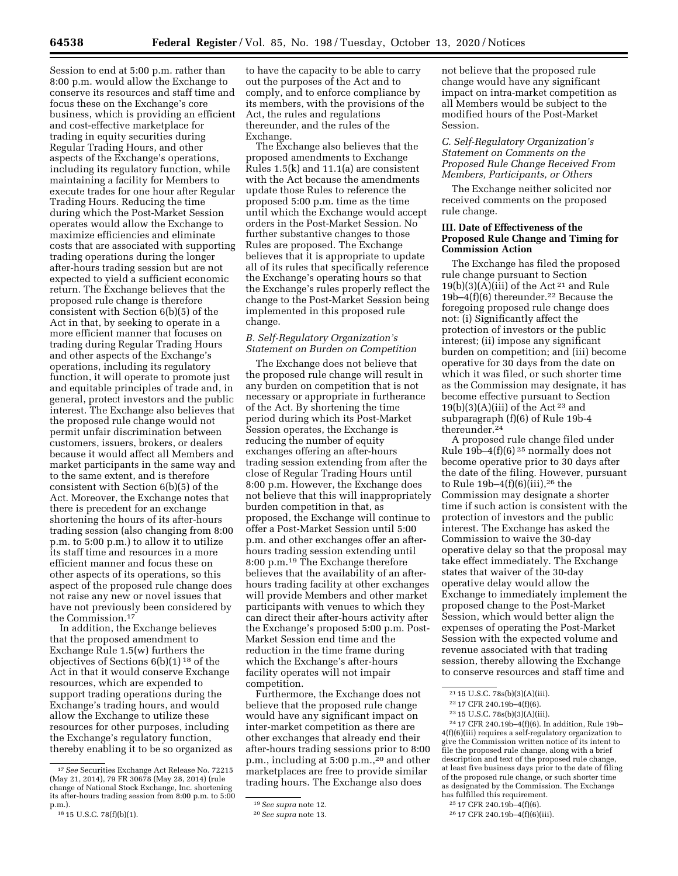Session to end at 5:00 p.m. rather than 8:00 p.m. would allow the Exchange to conserve its resources and staff time and focus these on the Exchange's core business, which is providing an efficient and cost-effective marketplace for trading in equity securities during Regular Trading Hours, and other aspects of the Exchange's operations, including its regulatory function, while maintaining a facility for Members to execute trades for one hour after Regular Trading Hours. Reducing the time during which the Post-Market Session operates would allow the Exchange to maximize efficiencies and eliminate costs that are associated with supporting trading operations during the longer after-hours trading session but are not expected to yield a sufficient economic return. The Exchange believes that the proposed rule change is therefore consistent with Section 6(b)(5) of the Act in that, by seeking to operate in a more efficient manner that focuses on trading during Regular Trading Hours and other aspects of the Exchange's operations, including its regulatory function, it will operate to promote just and equitable principles of trade and, in general, protect investors and the public interest. The Exchange also believes that the proposed rule change would not permit unfair discrimination between customers, issuers, brokers, or dealers because it would affect all Members and market participants in the same way and to the same extent, and is therefore consistent with Section 6(b)(5) of the Act. Moreover, the Exchange notes that there is precedent for an exchange shortening the hours of its after-hours trading session (also changing from 8:00 p.m. to 5:00 p.m.) to allow it to utilize its staff time and resources in a more efficient manner and focus these on other aspects of its operations, so this aspect of the proposed rule change does not raise any new or novel issues that have not previously been considered by the Commission.17

In addition, the Exchange believes that the proposed amendment to Exchange Rule 1.5(w) furthers the objectives of Sections 6(b)(1) 18 of the Act in that it would conserve Exchange resources, which are expended to support trading operations during the Exchange's trading hours, and would allow the Exchange to utilize these resources for other purposes, including the Exchange's regulatory function, thereby enabling it to be so organized as

to have the capacity to be able to carry out the purposes of the Act and to comply, and to enforce compliance by its members, with the provisions of the Act, the rules and regulations thereunder, and the rules of the Exchange.

The Exchange also believes that the proposed amendments to Exchange Rules 1.5(k) and 11.1(a) are consistent with the Act because the amendments update those Rules to reference the proposed 5:00 p.m. time as the time until which the Exchange would accept orders in the Post-Market Session. No further substantive changes to those Rules are proposed. The Exchange believes that it is appropriate to update all of its rules that specifically reference the Exchange's operating hours so that the Exchange's rules properly reflect the change to the Post-Market Session being implemented in this proposed rule change.

## *B. Self-Regulatory Organization's Statement on Burden on Competition*

The Exchange does not believe that the proposed rule change will result in any burden on competition that is not necessary or appropriate in furtherance of the Act. By shortening the time period during which its Post-Market Session operates, the Exchange is reducing the number of equity exchanges offering an after-hours trading session extending from after the close of Regular Trading Hours until 8:00 p.m. However, the Exchange does not believe that this will inappropriately burden competition in that, as proposed, the Exchange will continue to offer a Post-Market Session until 5:00 p.m. and other exchanges offer an afterhours trading session extending until 8:00 p.m.19 The Exchange therefore believes that the availability of an afterhours trading facility at other exchanges will provide Members and other market participants with venues to which they can direct their after-hours activity after the Exchange's proposed 5:00 p.m. Post-Market Session end time and the reduction in the time frame during which the Exchange's after-hours facility operates will not impair competition.

Furthermore, the Exchange does not believe that the proposed rule change would have any significant impact on inter-market competition as there are other exchanges that already end their after-hours trading sessions prior to 8:00 p.m., including at 5:00 p.m.,20 and other marketplaces are free to provide similar trading hours. The Exchange also does

not believe that the proposed rule change would have any significant impact on intra-market competition as all Members would be subject to the modified hours of the Post-Market Session.

### *C. Self-Regulatory Organization's Statement on Comments on the Proposed Rule Change Received From Members, Participants, or Others*

The Exchange neither solicited nor received comments on the proposed rule change.

## **III. Date of Effectiveness of the Proposed Rule Change and Timing for Commission Action**

The Exchange has filed the proposed rule change pursuant to Section  $19(b)(3)(A)(iii)$  of the Act<sup>21</sup> and Rule 19b–4(f)(6) thereunder.22 Because the foregoing proposed rule change does not: (i) Significantly affect the protection of investors or the public interest; (ii) impose any significant burden on competition; and (iii) become operative for 30 days from the date on which it was filed, or such shorter time as the Commission may designate, it has become effective pursuant to Section  $19(b)(3)(A)(iii)$  of the Act<sup>23</sup> and subparagraph (f)(6) of Rule 19b-4 thereunder.24

A proposed rule change filed under Rule 19b–4(f)(6) 25 normally does not become operative prior to 30 days after the date of the filing. However, pursuant to Rule  $19b-4(f)(6)(iii)$ , <sup>26</sup> the Commission may designate a shorter time if such action is consistent with the protection of investors and the public interest. The Exchange has asked the Commission to waive the 30-day operative delay so that the proposal may take effect immediately. The Exchange states that waiver of the 30-day operative delay would allow the Exchange to immediately implement the proposed change to the Post-Market Session, which would better align the expenses of operating the Post-Market Session with the expected volume and revenue associated with that trading session, thereby allowing the Exchange to conserve resources and staff time and

24 17 CFR 240.19b–4(f)(6). In addition, Rule 19b– 4(f)(6)(iii) requires a self-regulatory organization to give the Commission written notice of its intent to file the proposed rule change, along with a brief description and text of the proposed rule change, at least five business days prior to the date of filing of the proposed rule change, or such shorter time as designated by the Commission. The Exchange has fulfilled this requirement.

<sup>17</sup>*See* Securities Exchange Act Release No. 72215 (May 21, 2014), 79 FR 30678 (May 28, 2014) (rule change of National Stock Exchange, Inc. shortening its after-hours trading session from 8:00 p.m. to 5:00 p.m.). 18 15 U.S.C. 78(f)(b)(1).

<sup>19</sup>*See supra* note 12.

<sup>20</sup>*See supra* note 13.

<sup>21</sup> 15 U.S.C. 78s(b)(3)(A)(iii).

<sup>22</sup> 17 CFR 240.19b–4(f)(6).

<sup>23</sup> 15 U.S.C. 78s(b)(3)(A)(iii).

<sup>25</sup> 17 CFR 240.19b–4(f)(6).

<sup>26</sup> 17 CFR 240.19b–4(f)(6)(iii).